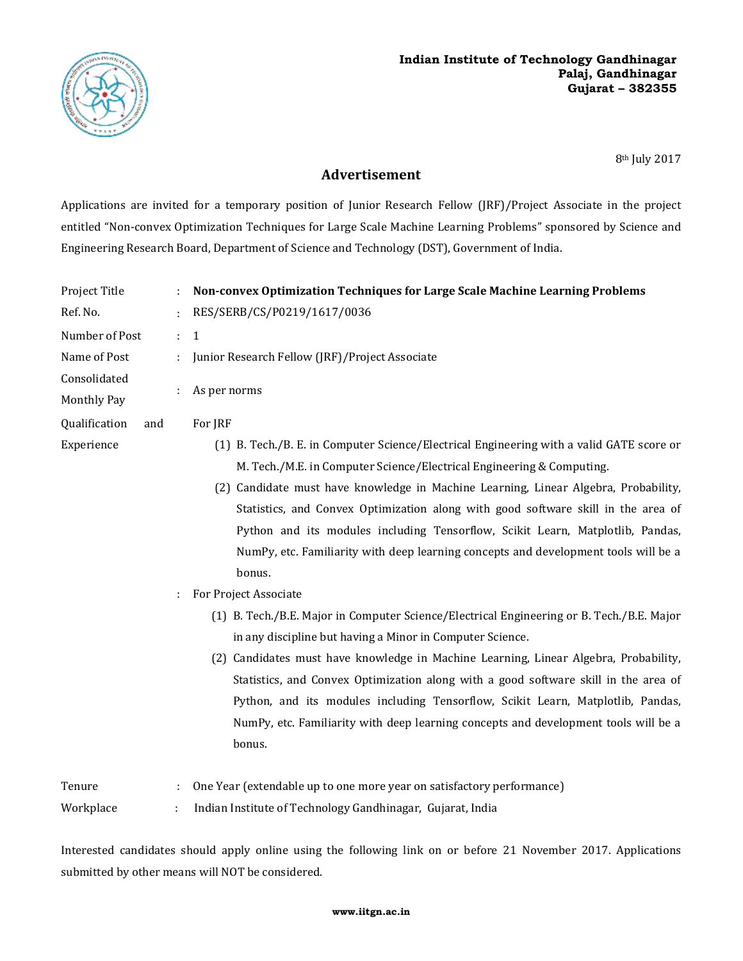

8th July 2017

## **Advertisement**

Applications are invited for a temporary position of Junior Research Fellow (JRF)/Project Associate in the project entitled "Non-convex Optimization Techniques for Large Scale Machine Learning Problems" sponsored by Science and Engineering Research Board, Department of Science and Technology (DST), Government of India.

| Project Title        |    | Non-convex Optimization Techniques for Large Scale Machine Learning Problems              |
|----------------------|----|-------------------------------------------------------------------------------------------|
| Ref. No.             |    | RES/SERB/CS/P0219/1617/0036                                                               |
| Number of Post       | ÷. | $\mathbf{1}$                                                                              |
| Name of Post         |    | Junior Research Fellow (JRF)/Project Associate                                            |
| Consolidated         |    | As per norms                                                                              |
| Monthly Pay          |    |                                                                                           |
| Qualification<br>and |    | For JRF                                                                                   |
| Experience           |    | (1) B. Tech./B. E. in Computer Science/Electrical Engineering with a valid GATE score or  |
|                      |    | M. Tech./M.E. in Computer Science/Electrical Engineering & Computing.                     |
|                      |    | (2) Candidate must have knowledge in Machine Learning, Linear Algebra, Probability,       |
|                      |    | Statistics, and Convex Optimization along with good software skill in the area of         |
|                      |    | Python and its modules including Tensorflow, Scikit Learn, Matplotlib, Pandas,            |
|                      |    | NumPy, etc. Familiarity with deep learning concepts and development tools will be a       |
|                      |    | bonus.                                                                                    |
|                      | ÷. | For Project Associate                                                                     |
|                      |    | (1) B. Tech./B.E. Major in Computer Science/Electrical Engineering or B. Tech./B.E. Major |
|                      |    | in any discipline but having a Minor in Computer Science.                                 |
|                      |    | (2) Candidates must have knowledge in Machine Learning, Linear Algebra, Probability,      |
|                      |    | Statistics, and Convex Optimization along with a good software skill in the area of       |
|                      |    | Python, and its modules including Tensorflow, Scikit Learn, Matplotlib, Pandas,           |
|                      |    | NumPy, etc. Familiarity with deep learning concepts and development tools will be a       |
|                      |    | bonus.                                                                                    |
| Tenure               |    | One Year (extendable up to one more year on satisfactory performance)                     |

Workplace : Indian Institute of Technology Gandhinagar, Gujarat, India

Interested candidates should apply online using the following link on or before 21 November 2017. Applications submitted by other means will NOT be considered.